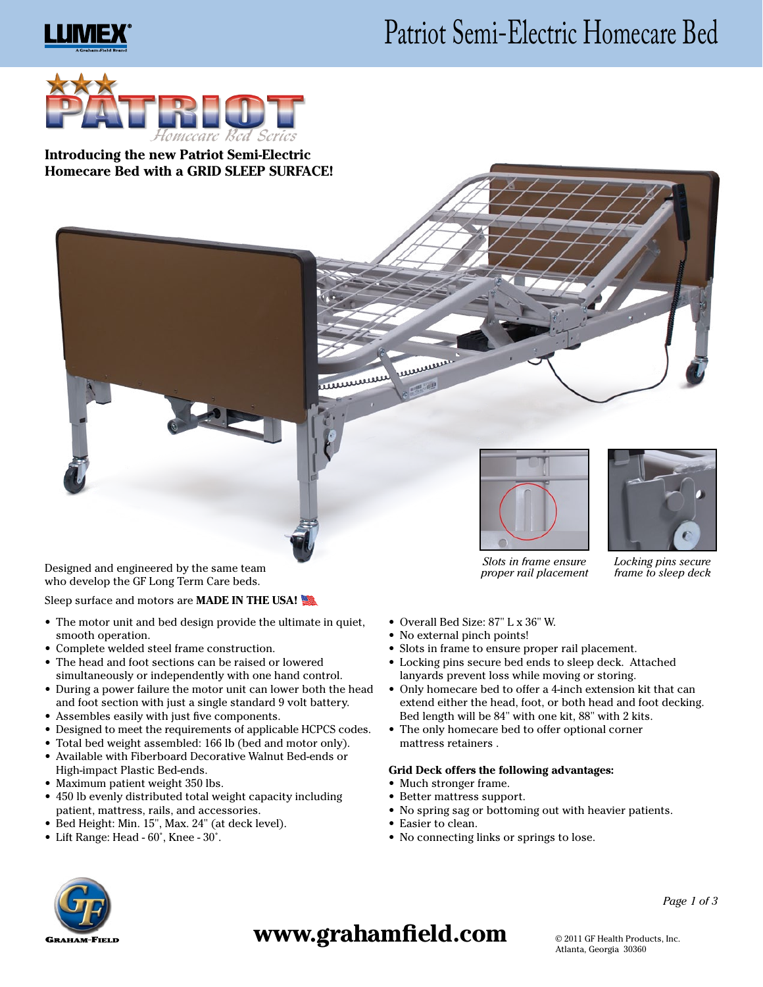

# Patriot Semi-Electric Homecare Bed



**Introducing the new Patriot Semi-Electric Homecare Bed with a GRID SLEEP SURFACE!**

Designed and engineered by the same team who develop the GF Long Term Care beds.

Sleep surface and motors are **MADE IN THE USA!**

- The motor unit and bed design provide the ultimate in quiet, smooth operation.
- • Complete welded steel frame construction.
- The head and foot sections can be raised or lowered simultaneously or independently with one hand control.
- During a power failure the motor unit can lower both the head and foot section with just a single standard 9 volt battery.
- • Assembles easily with just five components.
- Designed to meet the requirements of applicable HCPCS codes.
- Total bed weight assembled: 166 lb (bed and motor only). • Available with Fiberboard Decorative Walnut Bed-ends or
- High-impact Plastic Bed-ends.
- Maximum patient weight 350 lbs.
- 450 lb evenly distributed total weight capacity including patient, mattress, rails, and accessories.
- • Bed Height: Min. 15", Max. 24" (at deck level).
- • Lift Range: Head 60˚, Knee 30˚.





*Slots in frame ensure proper rail placement*

*Locking pins secure frame to sleep deck*

- • Overall Bed Size: 87" L x 36" W.
- No external pinch points!

mumm

ummur

- Slots in frame to ensure proper rail placement.
- • Locking pins secure bed ends to sleep deck. Attached lanyards prevent loss while moving or storing.
- • Only homecare bed to offer a 4-inch extension kit that can extend either the head, foot, or both head and foot decking. Bed length will be 84" with one kit, 88" with 2 kits.
- The only homecare bed to offer optional corner mattress retainers .

#### **Grid Deck offers the following advantages:**

- Much stronger frame.
- Better mattress support.
- No spring sag or bottoming out with heavier patients.
- • Easier to clean.
- No connecting links or springs to lose.



### **ERAHAM-FIELD WWW.grahamfield.com**

*Page 1 of 3*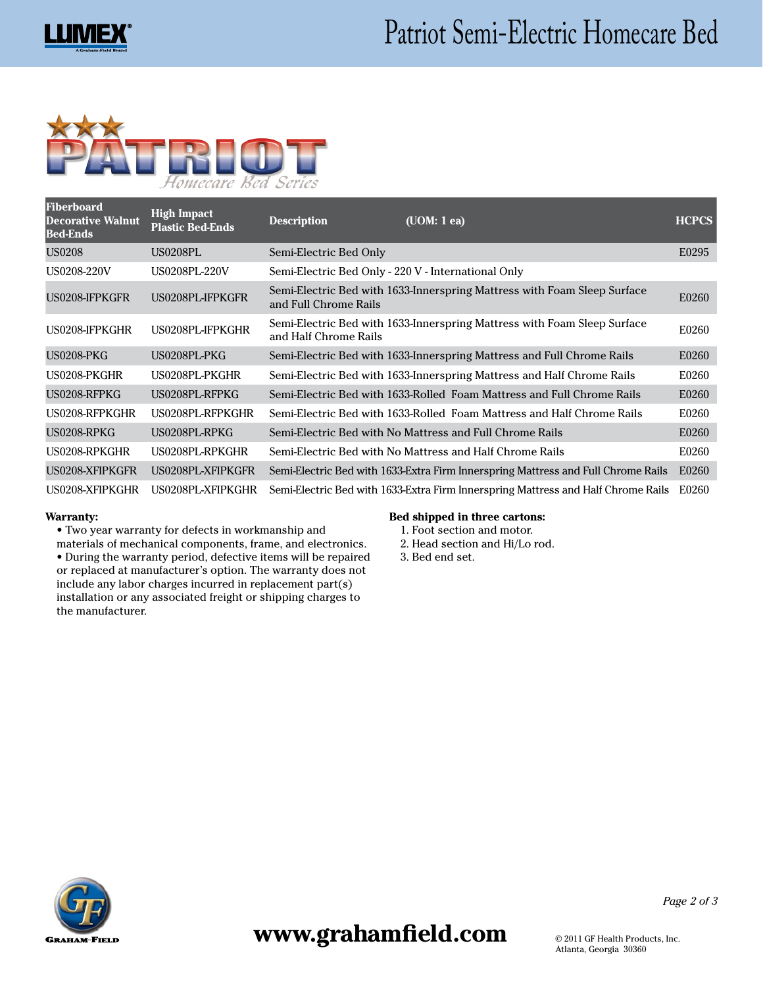

| Fiberboard<br><b>Decorative Walnut</b><br><b>Bed-Ends</b> | <b>High Impact</b><br><b>Plastic Bed-Ends</b> | <b>Description</b>                                  | (UOM: 1 ea)                                                                       | <b>HCPCS</b> |
|-----------------------------------------------------------|-----------------------------------------------|-----------------------------------------------------|-----------------------------------------------------------------------------------|--------------|
| US0208                                                    | US0208PL                                      | Semi-Electric Bed Only                              |                                                                                   | E0295        |
| US0208-220V                                               | US0208PL-220V                                 | Semi-Electric Bed Only - 220 V - International Only |                                                                                   |              |
| US0208-IFPKGFR                                            | US0208PL-IFPKGFR                              | and Full Chrome Rails                               | Semi-Electric Bed with 1633-Innerspring Mattress with Foam Sleep Surface          | E0260        |
| US0208-IFPKGHR                                            | US0208PL-IFPKGHR                              | and Half Chrome Rails                               | Semi-Electric Bed with 1633-Innerspring Mattress with Foam Sleep Surface          | E0260        |
| <b>US0208-PKG</b>                                         | US0208PL-PKG                                  |                                                     | Semi-Electric Bed with 1633-Innerspring Mattress and Full Chrome Rails            | E0260        |
| US0208-PKGHR                                              | US0208PL-PKGHR                                |                                                     | Semi-Electric Bed with 1633-Innerspring Mattress and Half Chrome Rails            | E0260        |
| US0208-RFPKG                                              | US0208PL-RFPKG                                |                                                     | Semi-Electric Bed with 1633-Rolled Foam Mattress and Full Chrome Rails            | E0260        |
| US0208-RFPKGHR                                            | US0208PL-RFPKGHR                              |                                                     | Semi-Electric Bed with 1633-Rolled Foam Mattress and Half Chrome Rails            | E0260        |
| US0208-RPKG                                               | US0208PL-RPKG                                 |                                                     | Semi-Electric Bed with No Mattress and Full Chrome Rails                          | E0260        |
| US0208-RPKGHR                                             | US0208PL-RPKGHR                               |                                                     | Semi-Electric Bed with No Mattress and Half Chrome Rails                          | E0260        |
| US0208-XFIPKGFR                                           | US0208PL-XFIPKGFR                             |                                                     | Semi-Electric Bed with 1633-Extra Firm Innerspring Mattress and Full Chrome Rails | E0260        |
| US0208-XFIPKGHR                                           | US0208PL-XFIPKGHR                             |                                                     | Semi-Electric Bed with 1633-Extra Firm Innerspring Mattress and Half Chrome Rails | E0260        |

#### **Warranty:**

• Two year warranty for defects in workmanship and

materials of mechanical components, frame, and electronics. • During the warranty period, defective items will be repaired or replaced at manufacturer's option. The warranty does not include any labor charges incurred in replacement part(s) installation or any associated freight or shipping charges to the manufacturer.

**Bed shipped in three cartons:**

- 1. Foot section and motor. 2. Head section and Hi/Lo rod.
- 3. Bed end set.